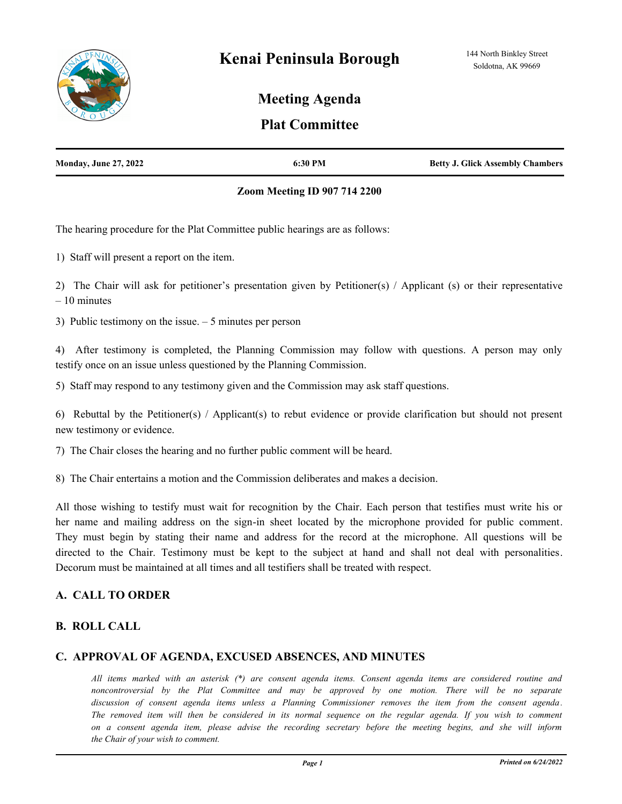

# **Meeting Agenda**

# **Plat Committee**

| <b>Monday, June 27, 2022</b> | 6:30 PM | <b>Betty J. Glick Assembly Chambers</b> |
|------------------------------|---------|-----------------------------------------|
|                              |         |                                         |

### **Zoom Meeting ID 907 714 2200**

The hearing procedure for the Plat Committee public hearings are as follows:

1) Staff will present a report on the item.

2) The Chair will ask for petitioner's presentation given by Petitioner(s) / Applicant (s) or their representative – 10 minutes

3) Public testimony on the issue. – 5 minutes per person

4) After testimony is completed, the Planning Commission may follow with questions. A person may only testify once on an issue unless questioned by the Planning Commission.

5) Staff may respond to any testimony given and the Commission may ask staff questions.

6) Rebuttal by the Petitioner(s) / Applicant(s) to rebut evidence or provide clarification but should not present new testimony or evidence.

7) The Chair closes the hearing and no further public comment will be heard.

8) The Chair entertains a motion and the Commission deliberates and makes a decision.

All those wishing to testify must wait for recognition by the Chair. Each person that testifies must write his or her name and mailing address on the sign-in sheet located by the microphone provided for public comment. They must begin by stating their name and address for the record at the microphone. All questions will be directed to the Chair. Testimony must be kept to the subject at hand and shall not deal with personalities. Decorum must be maintained at all times and all testifiers shall be treated with respect.

## **A. CALL TO ORDER**

## **B. ROLL CALL**

## **C. APPROVAL OF AGENDA, EXCUSED ABSENCES, AND MINUTES**

*All items marked with an asterisk (\*) are consent agenda items. Consent agenda items are considered routine and noncontroversial by the Plat Committee and may be approved by one motion. There will be no separate discussion of consent agenda items unless a Planning Commissioner removes the item from the consent agenda. The removed item will then be considered in its normal sequence on the regular agenda. If you wish to comment on a consent agenda item, please advise the recording secretary before the meeting begins, and she will inform the Chair of your wish to comment.*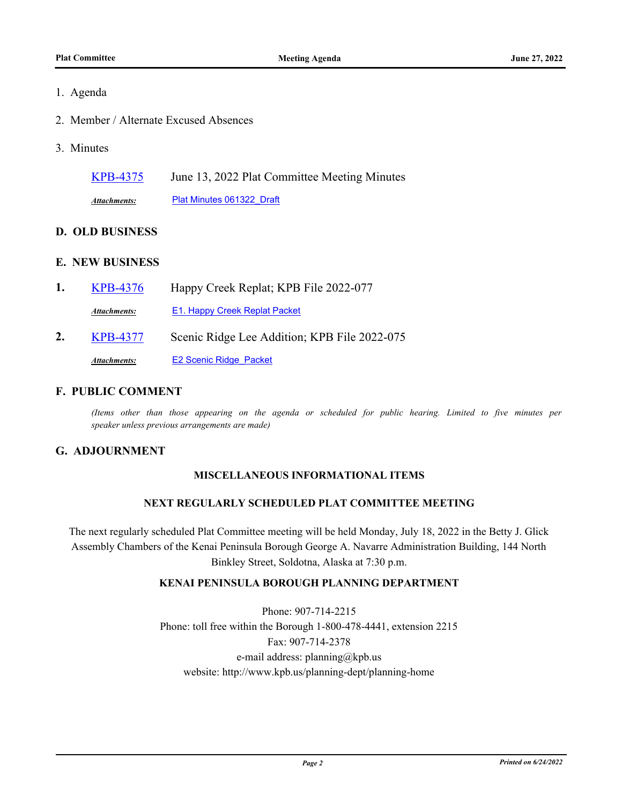## 1. Agenda

- 2. Member / Alternate Excused Absences
- 3. Minutes

[KPB-4375](http://kpb.legistar.com/gateway.aspx?m=l&id=/matter.aspx?key=25865) June 13, 2022 Plat Committee Meeting Minutes

*Attachments:* [Plat Minutes 061322\\_Draft](http://kpb.legistar.com/gateway.aspx?M=F&ID=4f070dbc-cbcc-4f2b-a358-8802173142f7.pdf)

## **D. OLD BUSINESS**

## **E. NEW BUSINESS**

**1.** [KPB-4376](http://kpb.legistar.com/gateway.aspx?m=l&id=/matter.aspx?key=25866) Happy Creek Replat; KPB File 2022-077 Attachments: [E1. Happy Creek Replat Packet](http://kpb.legistar.com/gateway.aspx?M=F&ID=ad983de4-8cbe-4b85-9bc8-a60648a288cc.pdf) **2.** [KPB-4377](http://kpb.legistar.com/gateway.aspx?m=l&id=/matter.aspx?key=25867) Scenic Ridge Lee Addition; KPB File 2022-075 Attachments: E2 Scenic Ridge Packet

### **F. PUBLIC COMMENT**

*(Items other than those appearing on the agenda or scheduled for public hearing. Limited to five minutes per speaker unless previous arrangements are made)*

## **G. ADJOURNMENT**

## **MISCELLANEOUS INFORMATIONAL ITEMS**

### **NEXT REGULARLY SCHEDULED PLAT COMMITTEE MEETING**

The next regularly scheduled Plat Committee meeting will be held Monday, July 18, 2022 in the Betty J. Glick Assembly Chambers of the Kenai Peninsula Borough George A. Navarre Administration Building, 144 North Binkley Street, Soldotna, Alaska at 7:30 p.m.

## **KENAI PENINSULA BOROUGH PLANNING DEPARTMENT**

Phone: 907-714-2215 Phone: toll free within the Borough 1-800-478-4441, extension 2215 Fax: 907-714-2378 e-mail address: planning@kpb.us website: http://www.kpb.us/planning-dept/planning-home